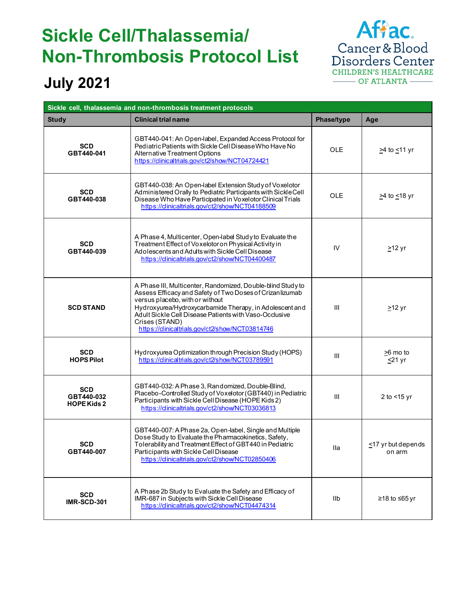## **Sickle Cell/Thalassemia/ Non-Thrombosis Protocol List**



## **July 2021**

| Sickle cell, thalassemia and non-thrombosis treatment protocols |                                                                                                                                                                                                                                                                                                                                                       |                |                                  |  |  |
|-----------------------------------------------------------------|-------------------------------------------------------------------------------------------------------------------------------------------------------------------------------------------------------------------------------------------------------------------------------------------------------------------------------------------------------|----------------|----------------------------------|--|--|
| <b>Study</b>                                                    | <b>Clinical trial name</b>                                                                                                                                                                                                                                                                                                                            | Phase/type     | Age                              |  |  |
| <b>SCD</b><br>GBT440-041                                        | GBT440-041: An Open-label, Expanded Access Protocol for<br>Pediatric Patients with Sickle Cell Disease Who Have No<br>Alternative Treatment Options<br>https://clinicaltrials.gov/ct2/show/NCT04724421                                                                                                                                                | <b>OLE</b>     | ≥4 to <u>&lt;</u> 11 yr          |  |  |
| <b>SCD</b><br>GBT440-038                                        | GBT440-038: An Open-label Extension Study of Voxelotor<br>Administered Orally to Pediatric Participants with Sickle Cell<br>Disease Who Have Participated in Voxelotor Clinical Trials<br>https://clinicaltrials.gov/ct2/show/NCT04188509                                                                                                             | <b>OLE</b>     | ≥4 to <u>&lt;</u> 18 yr          |  |  |
| <b>SCD</b><br>GBT440-039                                        | A Phase 4, Multicenter, Open-label Study to Evaluate the<br>Treatment Effect of Voxelotor on Physical Activity in<br>Adolescents and Adults with Sickle Cell Disease<br>https://clinicaltrials.gov/ct2/show/NCT04400487                                                                                                                               | IV             | $212$ yr                         |  |  |
| <b>SCD STAND</b>                                                | A Phase III, Multicenter, Randomized, Double-blind Study to<br>Assess Efficacy and Safety of Two Doses of Crizan lizumab<br>versus placebo, with or without<br>Hydroxyurea/Hydroxycarbamide Therapy, in Adolescent and<br>Adult Sickle Cell Disease Patients with Vaso-Occlusive<br>Crises (STAND)<br>https://clinicaltrials.gov/ct2/show/NCT03814746 | III            | $\geq$ 12 yr                     |  |  |
| <b>SCD</b><br><b>HOPS Pilot</b>                                 | Hydroxyurea Optimization through Precision Study (HOPS)<br>https://clinicaltrials.gov/ct2/show/NCT03789591                                                                                                                                                                                                                                            | III            | $\geq$ 6 mo to<br><u>≤</u> 21 yr |  |  |
| <b>SCD</b><br>GBT440-032<br><b>HOPE Kids 2</b>                  | GBT440-032: A Phase 3, Randomized, Double-Blind,<br>Placebo-Controlled Study of Voxelotor (GBT440) in Pediatric<br>Participants with Sickle Cell Disease (HOPE Kids 2)<br>https://clinicaltrials.gov/ct2/show/NCT03036813                                                                                                                             | $\mathbf{III}$ | 2 to $<$ 15 yr                   |  |  |
| <b>SCD</b><br>GBT440-007                                        | GBT440-007: A Phase 2a, Open-label, Single and Multiple<br>Dose Study to Evaluate the Pharmacokinetics, Safety,<br>Tolerability and Treatment Effect of GBT440 in Pediatric<br>Participants with Sickle Cell Disease<br>https://clinicaltrials.gov/ct2/show/NCT02850406                                                                               | lla            | <17 yr but depends<br>on arm     |  |  |
| <b>SCD</b><br><b>IMR-SCD-301</b>                                | A Phase 2b Study to Evaluate the Safety and Efficacy of<br>IMR-687 in Subjects with Sickle Cell Disease<br>https://clinicaltrials.gov/ct2/show/NCT04474314                                                                                                                                                                                            | llb            | ≥18 to ≤65 yr                    |  |  |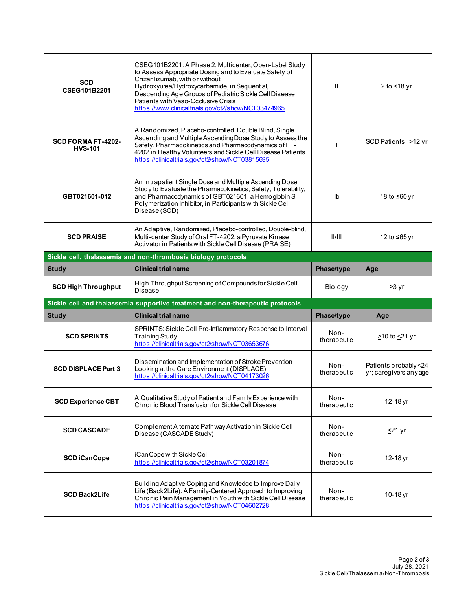| <b>SCD</b><br>CSEG101B2201                                    | CSEG101B2201: A Phase 2, Multicenter, Open-Label Study<br>to Assess Appropriate Dosing and to Evaluate Safety of<br>Crizanlizumab, with or without<br>Hydroxyurea/Hydroxycarbamide, in Sequential,<br>Descending Age Groups of Pediatric Sickle Cell Disease<br>Patients with Vaso-Occlusive Crisis<br>https://www.clinicaltrials.gov/ct2/show/NCT03474965 | Ш                   | 2 to <18 yr                                     |  |  |
|---------------------------------------------------------------|------------------------------------------------------------------------------------------------------------------------------------------------------------------------------------------------------------------------------------------------------------------------------------------------------------------------------------------------------------|---------------------|-------------------------------------------------|--|--|
| <b>SCD FORMA FT-4202-</b><br><b>HVS-101</b>                   | A Randomized, Placebo-controlled, Double Blind, Single<br>Ascending and Multiple Ascending Dose Study to Assess the<br>Safety, Pharmacokinetics and Pharmacodynamics of FT-<br>4202 in Healthy Volunteers and Sickle Cell Disease Patients<br>https://clinicaltrials.gov/ct2/show/NCT03815695                                                              |                     | SCD Patients >12 yr                             |  |  |
| GBT021601-012                                                 | An Intrapatient Single Dose and Multiple Ascending Dose<br>Study to Evaluate the Pharmacokinetics, Safety, Tolerability,<br>and Pharmacodynamics of GBT021601, a Hemoglobin S<br>Polymerization Inhibitor, in Participants with Sickle Cell<br>Disease (SCD)                                                                                               | lb                  | 18 to ≤60 yr                                    |  |  |
| <b>SCD PRAISE</b>                                             | An Adaptive, Randomized, Placebo-controlled, Double-blind,<br>Multi-center Study of Oral FT-4202, a Pyruvate Kinase<br>Activator in Patients with Sickle Cell Disease (PRAISE)                                                                                                                                                                             | 11/111              | 12 to ≤65 yr                                    |  |  |
| Sickle cell, thalassemia and non-thrombosis biology protocols |                                                                                                                                                                                                                                                                                                                                                            |                     |                                                 |  |  |
| <b>Study</b>                                                  | <b>Clinical trial name</b>                                                                                                                                                                                                                                                                                                                                 | Phase/type          | Age                                             |  |  |
|                                                               | High Throughput Screening of Compounds for Sickle Cell                                                                                                                                                                                                                                                                                                     |                     |                                                 |  |  |
| <b>SCD High Throughput</b>                                    | Disease                                                                                                                                                                                                                                                                                                                                                    | Biology             | $\geq$ 3 yr                                     |  |  |
|                                                               | Sickle cell and thalassemia supportive treatment and non-therapeutic protocols                                                                                                                                                                                                                                                                             |                     |                                                 |  |  |
| <b>Study</b>                                                  | <b>Clinical trial name</b>                                                                                                                                                                                                                                                                                                                                 | Phase/type          | Age                                             |  |  |
| <b>SCD SPRINTS</b>                                            | SPRINTS: Sickle Cell Pro-Inflammatory Response to Interval<br><b>Training Study</b><br>https://clinicaltrials.gov/ct2/show/NCT03653676                                                                                                                                                                                                                     | Non-<br>therapeutic | ≥10 to <u>&lt;</u> 21 yr                        |  |  |
| <b>SCD DISPLACE Part 3</b>                                    | Dissemination and Implementation of Stroke Prevention<br>Looking at the Care Environment (DISPLACE)<br>https://clinicaltrials.gov/ct2/show/NCT04173026                                                                                                                                                                                                     | Non-<br>therapeutic | Patients probably <24<br>yr; caregivers any age |  |  |
| <b>SCD Experience CBT</b>                                     | A Qualitative Study of Patient and Family Experience with<br>Chronic Blood Transfusion for Sickle Cell Disease                                                                                                                                                                                                                                             | Non-<br>therapeutic | 12-18 yr                                        |  |  |
| <b>SCD CASCADE</b>                                            | Complement Alternate Pathway Activation in Sickle Cell<br>Disease (CASCADE Study)                                                                                                                                                                                                                                                                          | Non-<br>therapeutic | $\leq$ 21 yr                                    |  |  |
| <b>SCD iCanCope</b>                                           | iCanCope with Sickle Cell<br>https://clinicaltrials.gov/ct2/show/NCT03201874                                                                                                                                                                                                                                                                               | Non-<br>therapeutic | 12-18 yr                                        |  |  |